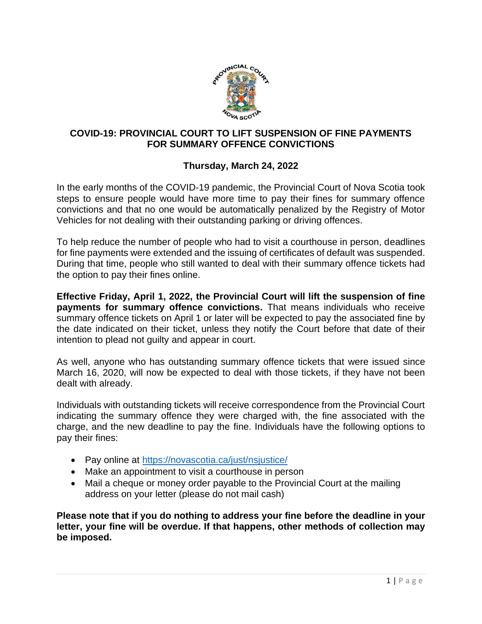

## **COVID-19: PROVINCIAL COURT TO LIFT SUSPENSION OF FINE PAYMENTS FOR SUMMARY OFFENCE CONVICTIONS**

## **Thursday, March 24, 2022**

In the early months of the COVID-19 pandemic, the Provincial Court of Nova Scotia took steps to ensure people would have more time to pay their fines for summary offence convictions and that no one would be automatically penalized by the Registry of Motor Vehicles for not dealing with their outstanding parking or driving offences.

To help reduce the number of people who had to visit a courthouse in person, deadlines for fine payments were extended and the issuing of certificates of default was suspended. During that time, people who still wanted to deal with their summary offence tickets had the option to pay their fines online.

**Effective Friday, April 1, 2022, the Provincial Court will lift the suspension of fine payments for summary offence convictions.** That means individuals who receive summary offence tickets on April 1 or later will be expected to pay the associated fine by the date indicated on their ticket, unless they notify the Court before that date of their intention to plead not guilty and appear in court.

As well, anyone who has outstanding summary offence tickets that were issued since March 16, 2020, will now be expected to deal with those tickets, if they have not been dealt with already.

Individuals with outstanding tickets will receive correspondence from the Provincial Court indicating the summary offence they were charged with, the fine associated with the charge, and the new deadline to pay the fine. Individuals have the following options to pay their fines:

- Pay online at<https://novascotia.ca/just/nsjustice/>
- Make an appointment to visit a courthouse in person
- Mail a cheque or money order payable to the Provincial Court at the mailing address on your letter (please do not mail cash)

**Please note that if you do nothing to address your fine before the deadline in your letter, your fine will be overdue. If that happens, other methods of collection may be imposed.**